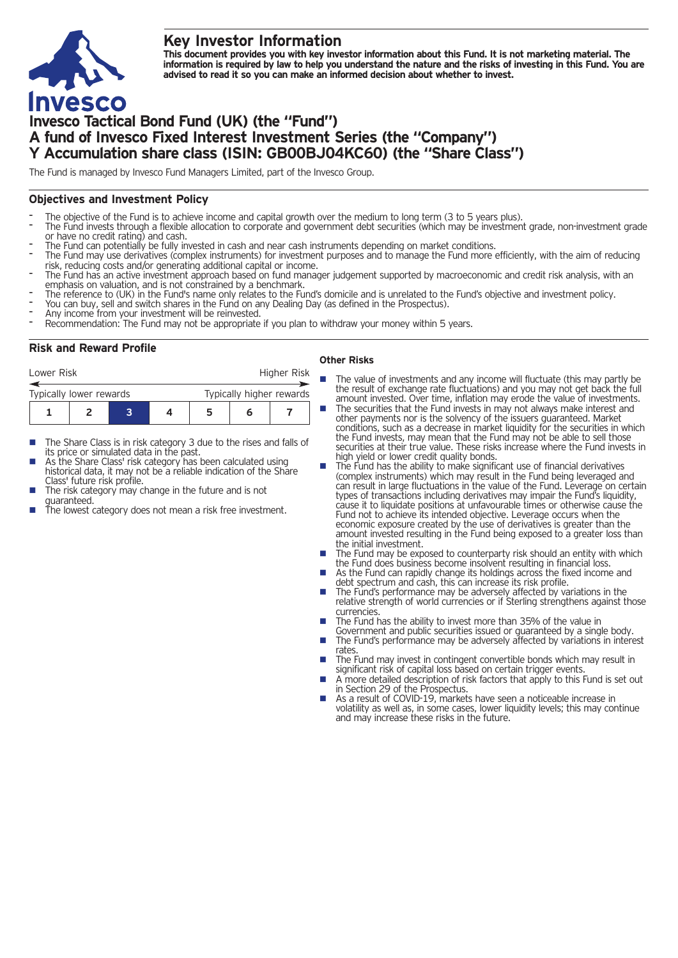## **Key Investor Information**



This document provides you with key investor information about this Fund. It is not marketing material. The information is required by law to help you understand the nature and the risks of investing in this Fund. You are **advised to read it so you can make an informed decision about whether to invest.**

# **Invesco Tactical Bond Fund (UK) (the "Fund") A fund of Invesco Fixed Interest Investment Series (the "Company") Y Accumulation share class (ISIN: GB00BJ04KC60) (the "Share Class")**

The Fund is managed by Invesco Fund Managers Limited, part of the Invesco Group.

## **Objectives and Investment Policy**

- 
- The objective of the Fund is to achieve income and capital growth over the medium to long term (3 to 5 years plus).<br>The Fund invests through a flexible allocation to corporate and government debt securities (which may be i
- 
- The Fund can potentially be fully invested in cash and near cash instruments depending on market conditions.<br>The Fund may use derivatives (complex instruments) for investment purposes and to manage the Fund more efficientl
- The Fund has an active investment approach based on fund manager judgement supported by macroeconomic and credit risk analysis, with an<br>emphasis on valuation, and is not constrained by a benchmark.
- The reference to (UK) in the Fund's name only relates to the Fund's domicile and is unrelated to the Fund's objective and investment policy.<br>You can buy, sell and switch shares in the Fund on any Dealing Day (as defined in
- 
- 
- 

## **Risk and Reward Profile**

|                                                     | Lower Risk |  |  |  |   | Higher Risk |  |  |
|-----------------------------------------------------|------------|--|--|--|---|-------------|--|--|
| Typically higher rewards<br>Typically lower rewards |            |  |  |  |   |             |  |  |
|                                                     |            |  |  |  | 5 | h           |  |  |

- The Share Class is in risk category 3 due to the rises and falls of its price or simulated data in the past.
- As the Share Class' risk category has been calculated using historical data, it may not be a reliable indication of the Share<br>Class' future risk profile.
- The risk category may change in the future and is not
- guaranteed.  $\frac{1}{\pi}$  is the lowest category does not mean a risk free investment.

#### **Other Risks**

- **n** The value of investments and any income will fluctuate (this may partly be the result of exchange rate fluctuations) and you may not get back the full amount invested. Over time, inflation may erode the value of investments.
- The securities that the Fund invests in may not always make interest and other payments nor is the solvency of the issuers guaranteed. Market conditions, such as a decrease in market liquidity for the securities in which the Fund invests, may mean that the Fund may not be able to sell those securities at their true value. These risks increase where the Fund invests in high yield or lower credit quality bonds.
- high yield or lower credit quality bonds. <sup>n</sup> The Fund has the ability to make significant use of financial derivatives (complex instruments) which may result in the Fund being leveraged and can result in large fluctuations in the value of the Fund. Leverage on certain types of transactions including derivatives may impair the Fund's liquidity, cause it to liquidate positions at unfavourable times or otherwise cause the Fund not to achieve its intended objective. Leverage occurs when the economic exposure created by the use of derivatives is greater than the amount invested resulting in the Fund being exposed to a greater loss than
- the initial investment.<br> **n** The Fund may be exposed to counterparty risk should an entity with which the Fund does business become insolvent resulting in financial loss. ■ As the Fund can rapidly change its holdings across the fixed income and
- As the Fund can rapidly change its holdings across the fixed income and debt spectrum and cash, this can increase its risk profile.<br>■ The Fund's performance may be adversely affected by variations in the
- relative strength of world currencies or if Sterling strengthens against those currencies.
- The Fund has the ability to invest more than 35% of the value in Government and public securities issued or guaranteed by a single body.
- The Fund's performance may be adversely affected by variations in interest<br>rates.
- The Fund may invest in contingent convertible bonds which may result in significant risk of capital loss based on certain trigger events.
- A more detailed description of risk factors that apply to this Fund is set out in Section 29 of the Prospectus.
- As a result of COVID-19, markets have seen a noticeable increase in volatility as well as, in some cases, lower liquidity levels; this may continue and may increase these risks in the future.